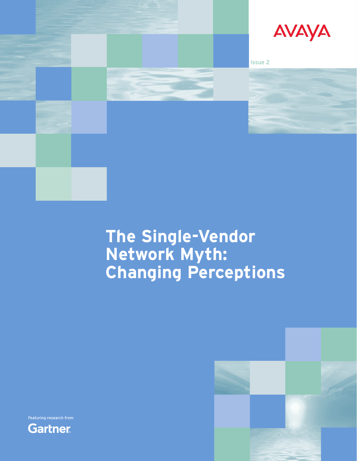

# **The Single-Vendor Network Myth: Changing Perceptions**





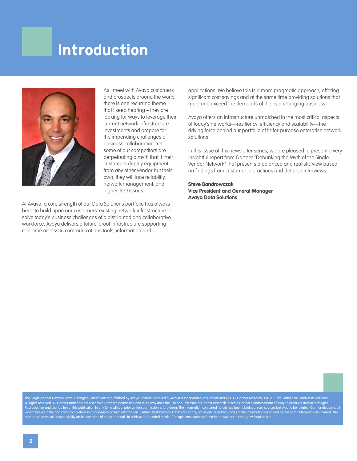## **Introduction**



As I meet with Avaya customers and prospects around the world there is one recurring theme that I keep hearing – they are looking for ways to leverage their current network infrastructure investments and prepare for the impending challenges of business collaboration. Yet some of our competitors are perpetuating a myth that if their customers deploy equipment from any other vendor but their own, they will face reliability, network management, and higher TCO issues.

At Avaya, a core strength of our Data Solutions portfolio has always been to build upon our customers' existing network infrastructure to solve today's business challenges of a distributed and collaborative workforce. Avaya delivers a future-proof infrastructure supporting real-time access to communications tools, information and

applications. We believe this is a more pragmatic approach, offering significant cost savings and at the same time providing solutions that meet and exceed the demands of the ever changing business.

Avaya offers an infrastructure unmatched in the most critical aspects of today's networks—resiliency, efficiency and scalability—the driving force behind our portfolio of fit-for-purpose enterprise network solutions.

In this issue of this newsletter series, we are pleased to present a very insightful report from Gartner "Debunking the Myth of the Single-Vendor Network" that presents a balanced and realistic view based on findings from customer interactions and detailed interviews.

**Steve Bandrowczak Vice President and General Manager Avaya Data Solutions**

The Single-Vendor Network Myth: Changing Perceptions is published by Avaya. Editorial supplied by Avaya is independent of Gartner analysis. All Gartner research is © 2010 by Gartner, Inc. and/or its Affiliates. All rights reserved. All Gartner materials are used with Gartner's permission and in no way does the use or publication of Gartner research indicate Gartner's endorsement of Avaya's products and/or strategies. Reproduction and distribution of this publication in any form without prior written permission is forbidden. The information contained herein has been obtained from sources believed to be reliable. Gartner disclaims all warranties as to the accuracy, completeness or adequacy of such information. Gartner shall have no liability for errors, omissions or inadequacies in the information contained herein or for interpretations thereof. The reader assumes sole responsibility for the selection of these materials to achieve its intended results. The opinions expressed herein are subject to change without notice.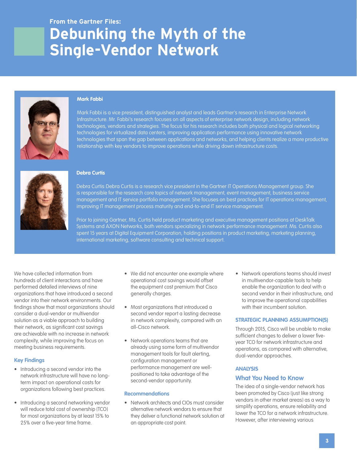## **Debunking the Myth of the Single-Vendor Network**



### **Mark Fabbi**

Mark Fabbi is a vice president, distinguished analyst and leads Gartner's research in Enterprise Network Infrastructure. Mr. Fabbi's research focuses on all aspects of enterprise network design, including network technologies, vendors and strategies. The focus for his research includes both physical and logical networking technologies for virtualized data centers, improving application performance using innovative network technologies that span the gap between applications and networks, and helping clients realize a more productive relationship with key vendors to improve operations while driving down infrastructure costs.



#### **Debra Curtis**

Debra Curtis:Debra Curtis is a research vice president in the Gartner IT Operations Management group. She is responsible for the research core topics of network management, event management, business service management and IT service portfolio management. She focuses on best practices for IT operations management, improving IT management process maturity and end-to-end IT service management.

Prior to joining Gartner, Ms. Curtis held product marketing and executive management positions at DeskTalk Systems and AXON Networks, both vendors specializing in network performance management. Ms. Curtis also spent 15 years at Digital Equipment Corporation, holding positions in product marketing, marketing planning, international marketing, software consulting and technical support.

We have collected information from hundreds of client interactions and have performed detailed interviews of nine organizations that have introduced a second vendor into their network environments. Our findings show that most organizations should consider a dual-vendor or multivendor solution as a viable approach to building their network, as significant cost savings are achievable with no increase in network complexity, while improving the focus on meeting business requirements.

#### **Key Findings**

- Introducing a second vendor into the network infrastructure will have no longterm impact on operational costs for organizations following best practices.
- Introducing a second networking vendor will reduce total cost of ownership (TCO) for most organizations by at least 15% to 25% over a five-year time frame.
- We did not encounter one example where operational cost savings would offset the equipment cost premium that Cisco generally charges.
- Most organizations that introduced a second vendor report a lasting decrease in network complexity, compared with an all-Cisco network.
- Network operations teams that are already using some form of multivendor management tools for fault alerting, configuration management or performance management are wellpositioned to take advantage of the second-vendor opportunity.

#### **Recommendations**

• Network architects and CIOs must consider alternative network vendors to ensure that they deliver a functional network solution at an appropriate cost point.

• Network operations teams should invest in multivendor-capable tools to help enable the organization to deal with a second vendor in their infrastructure, and to improve the operational capabilities with their incumbent solution.

#### **STRATEGIC PLANNING ASSUMPTION(S)**

Through 2015, Cisco will be unable to make sufficient changes to deliver a lower fiveyear TCO for network infrastructure and operations, as compared with alternative, dual-vendor approaches.

#### **ANALYSIS**

## **What You Need to Know**

The idea of a single-vendor network has been promoted by Cisco (just like strong vendors in other market areas) as a way to simplify operations, ensure reliability and lower the TCO for a network infrastructure. However, after interviewing various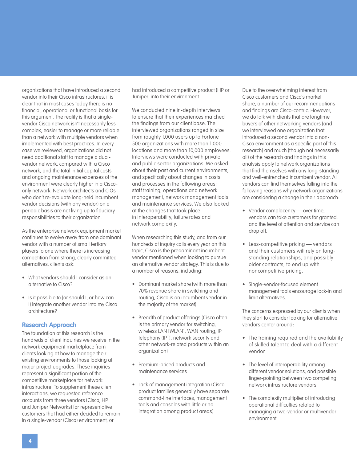organizations that have introduced a second vendor into their Cisco infrastructures, it is clear that in most cases today there is no financial, operational or functional basis for this argument. The reality is that a singlevendor Cisco network isn't necessarily less complex, easier to manage or more reliable than a network with multiple vendors when implemented with best practices. In every case we reviewed, organizations did not need additional staff to manage a dualvendor network, compared with a Cisco network, and the total initial capital costs and ongoing maintenance expenses of the environment were clearly higher in a Ciscoonly network. Network architects and CIOs who don't re-evaluate long-held incumbent vendor decisions (with any vendor) on a periodic basis are not living up to fiduciary responsibilities to their organization.

As the enterprise network equipment market continues to evolve away from one dominant vendor with a number of small tertiary players to one where there is increasing competition from strong, clearly committed alternatives, clients ask:

- • What vendors should I consider as an alternative to Cisco?
- Is it possible to (or should I, or how can I) integrate another vendor into my Cisco architecture?

## **Research Approach**

The foundation of this research is the hundreds of client inquiries we receive in the network equipment marketplace from clients looking at how to manage their existing environments to those looking at major project upgrades. These inquiries represent a significant portion of the competitive marketplace for network infrastructure. To supplement these client interactions, we requested reference accounts from three vendors (Cisco, HP and Juniper Networks) for representative customers that had either decided to remain in a single-vendor (Cisco) environment, or

had introduced a competitive product (HP or Juniper) into their environment.

We conducted nine in-depth interviews to ensure that their experiences matched the findings from our client base. The interviewed organizations ranged in size from roughly 1,000 users up to Fortune 500 organizations with more than 1,000 locations and more than 10,000 employees. Interviews were conducted with private and public sector organizations. We asked about their past and current environments, and specifically about changes in costs and processes in the following areas: staff training, operations and network management, network management tools and maintenance services. We also looked at the changes that took place in interoperability, failure rates and network complexity.

When researching this study, and from our hundreds of inquiry calls every year on this topic, Cisco is the predominant incumbent vendor mentioned when looking to pursue an alternative vendor strategy. This is due to a number of reasons, including:

- Dominant market share (with more than 70% revenue share in switching and routing, Cisco is an incumbent vendor in the majority of the market)
- Breadth of product offerings (Cisco often is the primary vendor for switching, wireless LAN [WLAN], WAN routing, IP telephony (IPT), network security and other network-related products within an organization)
- Premium-priced products and maintenance services
- • Lack of management integration (Cisco product families generally have separate command-line interfaces, management tools and consoles with little or no integration among product areas)

Due to the overwhelming interest from Cisco customers and Cisco's market share, a number of our recommendations and findings are Cisco-centric. However, we do talk with clients that are longtime buyers of other networking vendors (and we interviewed one organization that introduced a second vendor into a non-Cisco environment as a specific part of this research) and much (though not necessarily all) of the research and findings in this analysis apply to network organizations that find themselves with any long-standing and well-entrenched incumbent vendor. All vendors can find themselves falling into the following reasons why network organizations are considering a change in their approach:

- Vendor complacency over time, vendors can take customers for granted, and the level of attention and service can drop off.
- Less-competitive pricing vendors and their customers will rely on longstanding relationships, and possibly older contracts, to end up with noncompetitive pricing.
- Single-vendor-focused element management tools encourage lock-in and limit alternatives.

The concerns expressed by our clients when they start to consider looking for alternative vendors center around:

- The training required and the availability of skilled talent to deal with a different vendor
- The level of interoperability among different vendor solutions, and possible finger-pointing between two competing network infrastructure vendors
- The complexity multiplier of introducing operational difficulties related to managing a two-vendor or multivendor environment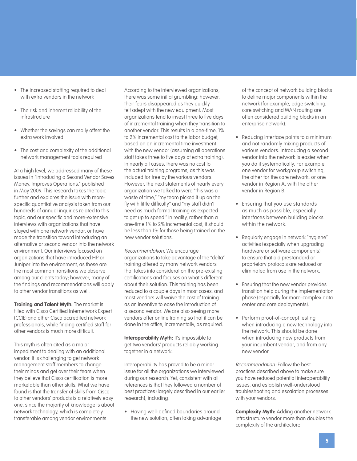- The increased staffing required to deal with extra vendors in the network
- The risk and inherent reliability of the infrastructure
- Whether the savings can really offset the extra work involved
- The cost and complexity of the additional network management tools required

At a high level, we addressed many of these issues in "Introducing a Second Vendor Saves Money, Improves Operations," published in May 2009. This research takes the topic further and explores the issue with morespecific quantitative analysis taken from our hundreds of annual inquiries related to this topic, and our specific and more-extensive interviews with organizations that have stayed with one network vendor, or have made the transition toward introducing an alternative or second vendor into the network environment. Our interviews focused on organizations that have introduced HP or Juniper into the environment, as these are the most common transitions we observe among our clients today; however, many of the findings and recommendations will apply to other vendor transitions as well.

**Training and Talent Myth:** The market is filled with Cisco Certified Internetwork Expert (CCIE) and other Cisco accredited network professionals, while finding certified staff for other vendors is much more difficult.

This myth is often cited as a major impediment to dealing with an additional vendor. It is challenging to get network management staff members to change their minds and get over their fears when they believe that Cisco certification is more marketable than other skills. What we have found is that the transfer of skills from Cisco to other vendors' products is a relatively easy one, since the majority of knowledge is about network technology, which is completely transferable among vendor environments.

According to the interviewed organizations, there was some initial grumbling; however, their fears disappeared as they quickly felt adept with the new equipment. Most organizations tend to invest three to five days of incremental training when they transition to another vendor. This results in a one-time, 1% to 2% incremental cost to the labor budget, based on an incremental time investment with the new vendor (assuming all operations staff takes three to five days of extra training). In nearly all cases, there was no cost to the actual training programs, as this was included for free by the various vendors. However, the next statements of nearly every organization we talked to were "this was a waste of time," "my team picked it up on the fly with little difficulty" and "my staff didn't need as much formal training as expected to get up to speed." In reality, rather than a one-time 1% to 2% incremental cost, it should be less than 1% for those being trained on the new vendor solutions.

Recommendation: We encourage organizations to take advantage of the "delta" training offered by many network vendors that takes into consideration the pre-existing certifications and focuses on what's different about their solution. This training has been reduced to a couple days in most cases, and most vendors will waive the cost of training as an incentive to ease the introduction of a second vendor. We are also seeing more vendors offer online training so that it can be done in the office, incrementally, as required.

**Interoperability Myth: It's impossible to** get two vendors' products reliably working together in a network.

Interoperability has proved to be a minor issue for all the organizations we interviewed during our research. Yet, consistent with all references is that they followed a number of best practices (largely described in our earlier research), including:

• Having well-defined boundaries around the new solution, often taking advantage of the concept of network building blocks to define major components within the network (for example, edge switching, core switching and WAN routing are often considered building blocks in an enterprise network).

- Reducing interface points to a minimum and not randomly mixing products of various vendors. Introducing a second vendor into the network is easier when you do it systematically. For example, one vendor for workgroup switching, the other for the core network; or one vendor in Region A, with the other vendor in Region B.
- Ensuring that you use standards as much as possible, especially interfaces between building blocks within the network.
- Regularly engage in network "hygiene" activities (especially when upgrading hardware or software components) to ensure that old prestandard or proprietary protocols are reduced or eliminated from use in the network.
- Ensuring that the new vendor provides transition help during the implementation phase (especially for more-complex data center and core deployments).
- Perform proof-of-concept testing when introducing a new technology into the network. This should be done when introducing new products from your incumbent vendor, and from any new vendor.

Recommendation: Follow the best practices described above to make sure you have reduced potential interoperability issues, and establish well-understood troubleshooting and escalation processes with your vendors.

**Complexity Myth:** Adding another network infrastructure vendor more than doubles the complexity of the architecture.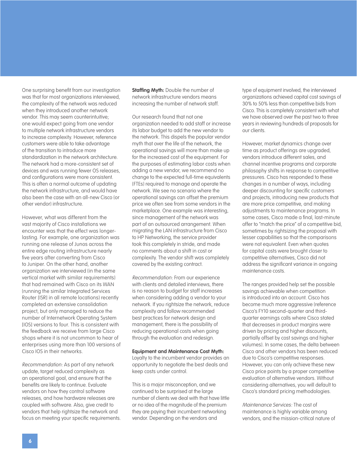One surprising benefit from our investigation was that for most organizations interviewed, the complexity of the network was reduced when they introduced another network vendor. This may seem counterintuitive; one would expect going from one vendor to multiple network infrastructure vendors to increase complexity. However, reference customers were able to take advantage of the transition to introduce more standardization in the network architecture. The network had a more-consistent set of devices and was running fewer OS releases, and configurations were more consistent. This is often a normal outcome of updating the network infrastructure, and would have also been the case with an all-new Cisco (or other vendor) infrastructure.

However, what was different from the vast majority of Cisco installations we encounter was that the effect was longerlasting. For example, one organization was running one release of Junos across the entire edge routing infrastructure nearly five years after converting from Cisco to Juniper. On the other hand, another organization we interviewed (in the same vertical market with similar requirements) that had remained with Cisco on its WAN (running the similar Integrated Services Router [ISR] in all remote locations) recently completed an extensive consolidation project, but only managed to reduce the number of Internetwork Operating System [IOS] versions to four. This is consistent with the feedback we receive from large Cisco shops where it is not uncommon to hear of enterprises using more than 100 versions of Cisco IOS in their networks.

Recommendation: As part of any network update, target reduced complexity as an operational goal, and ensure that the benefits are likely to continue. Evaluate vendors on how they control software releases, and how hardware releases are coupled with software. Also, give credit to vendors that help rightsize the network and focus on meeting your specific requirements. **Staffing Myth: Double the number of** network infrastructure vendors means increasing the number of network staff.

Our research found that not one organization needed to add staff or increase its labor budget to add the new vendor to the network. This dispels the popular vendor myth that over the life of the network, the operational savings will more than make up for the increased cost of the equipment. For the purposes of estimating labor costs when adding a new vendor, we recommend no change to the expected full-time equivalents (FTEs) required to manage and operate the network. We see no scenario where the operational savings can offset the premium price we often see from some vendors in the marketplace. One example was interesting, since management of the network was part of an outsourced arrangement. When migrating the LAN infrastructure from Cisco to HP Networking, the service provider took this completely in stride, and made no comments about a shift in cost or complexity. The vendor shift was completely covered by the existing contract.

Recommendation: From our experience with clients and detailed interviews, there is no reason to budget for staff increases when considering adding a vendor to your network. If you rightsize the network, reduce complexity and follow recommended best practices for network design and management, there is the possibility of reducing operational costs when going through the evaluation and redesign.

**Equipment and Maintenance Cost Myth:**  Loyalty to the incumbent vendor provides an opportunity to negotiate the best deals and keep costs under control.

This is a major misconception, and we continued to be surprised at the large number of clients we deal with that have little or no idea of the magnitude of the premium they are paying their incumbent networking vendor. Depending on the vendors and

type of equipment involved, the interviewed organizations achieved capital cost savings of 30% to 50% less than competitive bids from Cisco. This is completely consistent with what we have observed over the past two to three years in reviewing hundreds of proposals for our clients.

However, market dynamics change over time as product offerings are upgraded, vendors introduce different sales, and channel incentive programs and corporate philosophy shifts in response to competitive pressures. Cisco has responded to these changes in a number of ways, including deeper discounting for specific customers and projects, introducing new products that are more price competitive, and making adjustments to maintenance programs. In some cases, Cisco made a final, last-minute offer to "match the price" of a competitive bid, sometimes by rightsizing the proposal with lesser capabilities so that the comparisons were not equivalent. Even when quotes for capital costs were brought closer to competitive alternatives, Cisco did not address the significant variance in ongoing maintenance costs.

The ranges provided help set the possible savings achievable when competition is introduced into an account. Cisco has become much more aggressive (reference Cisco's FY10 second-quarter and thirdquarter earnings calls where Cisco stated that decreases in product margins were driven by pricing and higher discounts, partially offset by cost savings and higher volumes). In some cases, the delta between Cisco and other vendors has been reduced due to Cisco's competitive responses. However, you can only achieve these new Cisco price points by a proper competitive evaluation of alternative vendors. Without considering alternatives, you will default to Cisco's standard pricing methodologies.

Maintenance Services: The cost of maintenance is highly variable among vendors, and the mission-critical nature of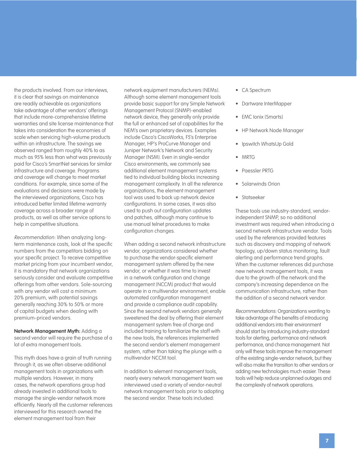the products involved. From our interviews, it is clear that savings on maintenance are readily achievable as organizations take advantage of other vendors' offerings that include more-comprehensive lifetime warranties and site license maintenance that takes into consideration the economies of scale when servicing high-volume products within an infrastructure. The savings we observed ranged from roughly 40% to as much as 95% less than what was previously paid for Cisco's SmartNet services for similar infrastructure and coverage. Programs and coverage will change to meet market conditions. For example, since some of the evaluations and decisions were made by the interviewed organizations, Cisco has introduced better limited lifetime warranty coverage across a broader range of products, as well as other service options to help in competitive situations.

Recommendation: When analyzing longterm maintenance costs, look at the specific numbers from the competitors bidding on your specific project. To receive competitive market pricing from your incumbent vendor, it is mandatory that network organizations seriously consider and evaluate competitive offerings from other vendors. Sole-sourcing with any vendor will cost a minimum 20% premium, with potential savings generally reaching 30% to 50% or more of capital budgets when dealing with premium-priced vendors.

**Network Management Myth:** Adding a second vendor will require the purchase of a lot of extra management tools.

This myth does have a grain of truth running through it, as we often observe additional management tools in organizations with multiple vendors. However, in many cases, the network operations group had already invested in additional tools to manage the single-vendor network more efficiently. Nearly all the customer references interviewed for this research owned the element management tool from their

network equipment manufacturers (NEMs). Although some element management tools provide basic support for any Simple Network Management Protocol (SNMP)-enabled network device, they generally only provide the full or enhanced set of capabilities for the NEM's own proprietary devices. Examples include Cisco's CiscoWorks, F5's Enterprise Manager, HP's ProCurve Manager and Juniper Network's Network and Security Manager (NSM). Even in single-vendor Cisco environments, we commonly see additional element management systems tied to individual building blocks increasing management complexity. In all the reference organizations, the element management tool was used to back up network device configurations. In some cases, it was also used to push out configuration updates and patches, although many continue to use manual telnet procedures to make configuration changes.

When adding a second network infrastructure vendor, organizations considered whether to purchase the vendor-specific element management system offered by the new vendor, or whether it was time to invest in a network configuration and change management (NCCM) product that would operate in a multivendor environment, enable automated configuration management and provide a compliance audit capability. Since the second network vendors generally sweetened the deal by offering their element management system free of charge and included training to familiarize the staff with the new tools, the references implemented the second vendor's element management system, rather than taking the plunge with a multivendor NCCM tool.

In addition to element management tools, nearly every network management team we interviewed used a variety of vendor-neutral network management tools prior to adopting the second vendor. These tools included:

- CA Spectrum
- • Dartware InterMapper
- EMC Ionix (Smarts)
- **HP Network Node Manager**
- Ipswitch WhatsUp Gold
- **MRTG**
- • Paessler PRTG
- Solarwinds Orion
- Statseeker

These tools use industry-standard, vendorindependent SNMP, so no additional investment was required when introducing a second network infrastructure vendor. Tools used by the references provided features such as discovery and mapping of network topology, up/down status monitoring, fault alerting and performance trend graphs. When the customer references did purchase new network management tools, it was due to the growth of the network and the company's increasing dependence on the communication infrastructure, rather than the addition of a second network vendor.

Recommendations: Organizations wanting to take advantage of the benefits of introducing additional vendors into their environment should start by introducing industry-standard tools for alerting, performance and network performance, and chance management. Not only will these tools improve the management of the existing single-vendor network, but they will also make the transition to other vendors or adding new technologies much easier. These tools will help reduce unplanned outages and the complexity of network operations.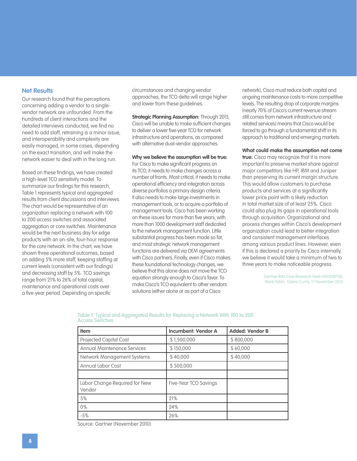### **Net Results**

Our research found that the perceptions concerning adding a vendor to a singlevendor network are unfounded. From the hundreds of client interactions and the detailed interviews conducted, we find no need to add staff, retraining is a minor issue, and interoperability and complexity are easily managed, in some cases, depending on the exact transition, and will make the network easier to deal with in the long run.

Based on these findings, we have created a high-level TCO sensitivity model. To summarize our findings for this research, Table 1 represents typical and aggregated results from client discussions and interviews. The chart would be representative of an organization replacing a network with 100 to 200 access switches and associated aggregation or core switches. Maintenance would be the next business day for edge products with an on-site, four-hour response for the core network. In the chart, we have shown three operational outcomes, based on adding 5% more staff, keeping staffing at current levels (consistent with our findings) and decreasing staff by 5%. TCO savings range from 21% to 26% of total capital, maintenance and operational costs over a five-year period. Depending on specific

circumstances and changing vendor approaches, the TCO delta will range higher and lower from these guidelines.

**Strategic Planning Assumption: Through 2015,** Cisco will be unable to make sufficient changes to deliver a lower five-year TCO for network infrastructure and operations, as compared with alternative dual-vendor approaches.

#### **Why we believe the assumption will be true:**

For Cisco to make significant progress on its TCO, it needs to make changes across a number of fronts. Most critical, it needs to make operational efficiency and integration across diverse portfolios a primary design criteria. It also needs to make large investments in management tools, or to acquire a portfolio of management tools. Cisco has been working on these issues for more than five years, with more than 1000 development staff dedicated to the network management function. Little substantial progress has been made so far, and most strategic network management functions are delivered via OEM agreements with Cisco partners. Finally, even if Cisco makes these foundational technology changes, we believe that this alone does not move the TCO equation strongly enough to Cisco's favor. To make Cisco's TCO equivalent to other vendors solutions (either alone or as part of a Cisco

network), Cisco must reduce both capital and ongoing maintenance costs to more competitive levels. The resulting drop of corporate margins (nearly 70% of Cisco's current revenue stream still comes from network infrastructure and related services) means that Cisco would be forced to go through a fundamental shift in its approach to traditional and emerging markets.

**What could make the assumption not come** 

**true:** Cisco may recognize that it is more important to preserve market share against major competitors like HP, IBM and Juniper than preserving its current margin structure. This would allow customers to purchase products and services at a significantly lower price point with a likely reduction in total market size of at least 25%. Cisco could also plug its gaps in operational tools through acquisition. Organizational and process changes within Cisco's development organization could lead to better integration and consistent management interfaces among various product lines. However, even if this is declared a priority by Cisco internally, we believe it would take a minimum of two to three years to make noticeable progress.

> Gartner RAS Core Research Note G00208758, Mark Fabbi, Debra Curtis, 17 November 2010

| <b>Item</b>                             | <b>Incumbent: Vendor A</b> | <b>Added: Vendor B</b> |
|-----------------------------------------|----------------------------|------------------------|
| Projected Capital Cost                  | \$1,500,000                | \$800,000              |
| <b>Annual Maintenance Services</b>      | \$150,000                  | \$60,000               |
| Network Management Systems              | \$40,000                   | \$40,000               |
| Annual Labor Cost                       | \$500,000                  |                        |
|                                         |                            |                        |
| Labor Change Required for New<br>Vendor | Five-Year TCO Savings      |                        |
| 5%                                      | 21%                        |                        |
| $0\%$                                   | 24%                        |                        |
| $-5%$                                   | 26%                        |                        |

#### Table 1. Typical and Aggregated Results for Replacing a Network With 100 to 200 Access Switches

Source: Gartner (November 2010)